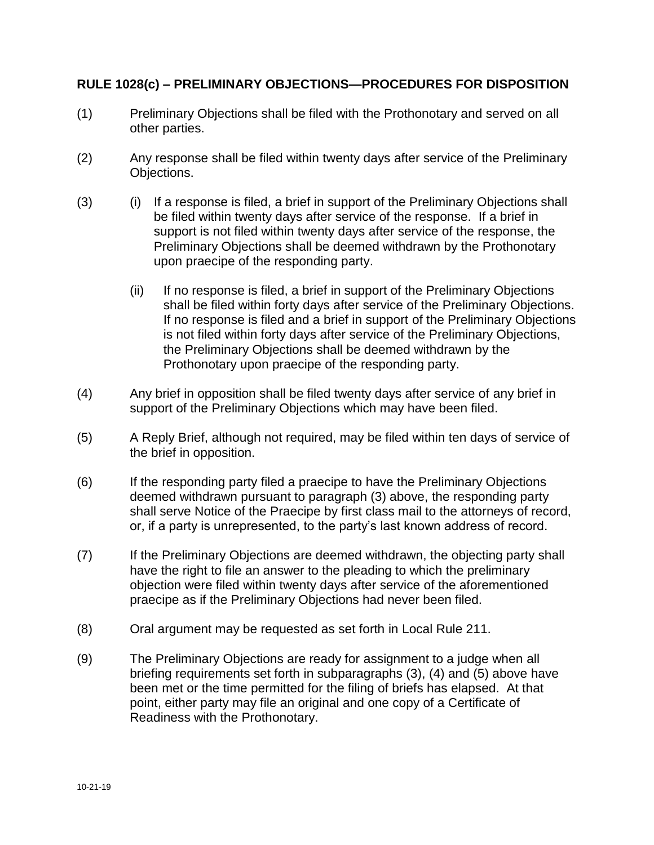## **RULE 1028(c) – PRELIMINARY OBJECTIONS—PROCEDURES FOR DISPOSITION**

- (1) Preliminary Objections shall be filed with the Prothonotary and served on all other parties.
- (2) Any response shall be filed within twenty days after service of the Preliminary Objections.
- (3) (i) If a response is filed, a brief in support of the Preliminary Objections shall be filed within twenty days after service of the response. If a brief in support is not filed within twenty days after service of the response, the Preliminary Objections shall be deemed withdrawn by the Prothonotary upon praecipe of the responding party.
	- (ii) If no response is filed, a brief in support of the Preliminary Objections shall be filed within forty days after service of the Preliminary Objections. If no response is filed and a brief in support of the Preliminary Objections is not filed within forty days after service of the Preliminary Objections, the Preliminary Objections shall be deemed withdrawn by the Prothonotary upon praecipe of the responding party.
- (4) Any brief in opposition shall be filed twenty days after service of any brief in support of the Preliminary Objections which may have been filed.
- (5) A Reply Brief, although not required, may be filed within ten days of service of the brief in opposition.
- (6) If the responding party filed a praecipe to have the Preliminary Objections deemed withdrawn pursuant to paragraph (3) above, the responding party shall serve Notice of the Praecipe by first class mail to the attorneys of record, or, if a party is unrepresented, to the party's last known address of record.
- (7) If the Preliminary Objections are deemed withdrawn, the objecting party shall have the right to file an answer to the pleading to which the preliminary objection were filed within twenty days after service of the aforementioned praecipe as if the Preliminary Objections had never been filed.
- (8) Oral argument may be requested as set forth in Local Rule 211.
- (9) The Preliminary Objections are ready for assignment to a judge when all briefing requirements set forth in subparagraphs (3), (4) and (5) above have been met or the time permitted for the filing of briefs has elapsed. At that point, either party may file an original and one copy of a Certificate of Readiness with the Prothonotary.